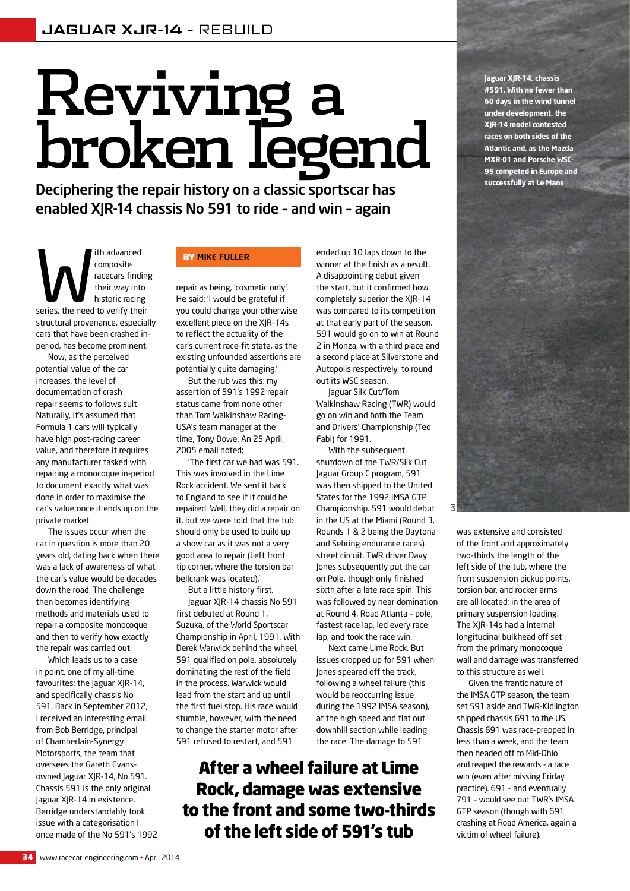# Reviving a broken legend

Deciphering the repair history on a classic sportscar has enabled XJR-14 chassis No 591 to ride – and win – again

Ith advanced<br>
composite<br>
racecars finding<br>
their way into<br>
historic racing<br>
series, the need to verify their composite racecars finding their way into historic racing structural provenance, especially cars that have been crashed inperiod, has become prominent.

Now, as the perceived potential value of the car increases, the level of documentation of crash repair seems to follows suit. Naturally, it's assumed that Formula 1 cars will typically have high post-racing career value, and therefore it requires any manufacturer tasked with repairing a monocoque in-period to document exactly what was done in order to maximise the car's value once it ends up on the private market.

The issues occur when the car in question is more than 20 years old, dating back when there was a lack of awareness of what the car's value would be decades down the road. The challenge then becomes identifying methods and materials used to repair a composite monocoque and then to verify how exactly the repair was carried out.

Which leads us to a case in point, one of my all-time favourites: the Jaguar XJR-14, and specifically chassis No 591. Back in September 2012, I received an interesting email from Bob Berridge, principal of Chamberlain-Synergy Motorsports, the team that oversees the Gareth Evansowned Jaguar XJR-14, No 591. Chassis 591 is the only original Jaguar XJR-14 in existence. Berridge understandably took issue with a categorisation I once made of the No 591's 1992

#### **BY MIKE FULLER**

repair as being, 'cosmetic only'. He said: 'I would be grateful if you could change your otherwise excellent piece on the XJR-14s to reflect the actuality of the car's current race-fit state, as the existing unfounded assertions are potentially quite damaging.'

But the rub was this: my assertion of 591's 1992 repair status came from none other than Tom Walkinshaw Racing-USA's team manager at the time, Tony Dowe. An 25 April, 2005 email noted:

'The first car we had was 591. This was involved in the Lime Rock accident. We sent it back to England to see if it could be repaired. Well, they did a repair on it, but we were told that the tub should only be used to build up a show car as it was not a very good area to repair (Left front tip corner, where the torsion bar bellcrank was located).'

But a little history first. Jaguar XJR-14 chassis No 591 first debuted at Round 1, Suzuka, of the World Sportscar Championship in April, 1991. With Derek Warwick behind the wheel 591 qualified on pole, absolutely dominating the rest of the field in the process. Warwick would lead from the start and up until the first fuel stop. His race would stumble, however, with the need to change the starter motor after 591 refused to restart, and 591

ended up 10 laps down to the winner at the finish as a result. A disappointing debut given the start, but it confirmed how completely superior the XJR-14 was compared to its competition at that early part of the season. 591 would go on to win at Round 2 in Monza, with a third place and a second place at Silverstone and Autopolis respectively, to round out its WSC season.

Jaguar Silk Cut/Tom Walkinshaw Racing (TWR) would go on win and both the Team and Drivers' Championship (Teo Fabi) for 1991.

With the subsequent shutdown of the TWR/Silk Cut Jaguar Group C program, 591 was then shipped to the United States for the 1992 IMSA GTP Championship. 591 would debut in the US at the Miami (Round 3, Rounds 1 & 2 being the Daytona and Sebring endurance races) street circuit. TWR driver Davy Jones subsequently put the car on Pole, though only finished sixth after a late race spin. This was followed by near domination at Round 4, Road Atlanta – pole, fastest race lap, led every race lap, and took the race win.

Next came Lime Rock. But issues cropped up for 591 when Jones speared off the track, following a wheel failure (this would be reoccurring issue during the 1992 IMSA season), at the high speed and flat out downhill section while leading the race. The damage to 591

## After a wheel failure at Lime Rock, damage was extensive to the front and some two-thirds of the left side of 591's tub

**Jaguar XJR-14, chassis #591. With no fewer than 60 days in the wind tunnel under development, the XJR-14 model contested races on both sides of the Atlantic and, as the Mazda MXR-01 and Porsche WSC-95 competed in Europe and successfully at Le Mans**



was extensive and consisted of the front and approximately two-thirds the length of the left side of the tub, where the front suspension pickup points, torsion bar, and rocker arms are all located; in the area of primary suspension loading. The XJR-14s had a internal longitudinal bulkhead off set from the primary monocoque wall and damage was transferred to this structure as well.

Given the frantic nature of the IMSA GTP season, the team set 591 aside and TWR-Kidlington shipped chassis 691 to the US. Chassis 691 was race-prepped in less than a week, and the team then headed off to Mid-Ohio and reaped the rewards - a race win (even after missing Friday practice). 691 – and eventually 791 – would see out TWR's IMSA GTP season (though with 691 crashing at Road America, again a victim of wheel failure).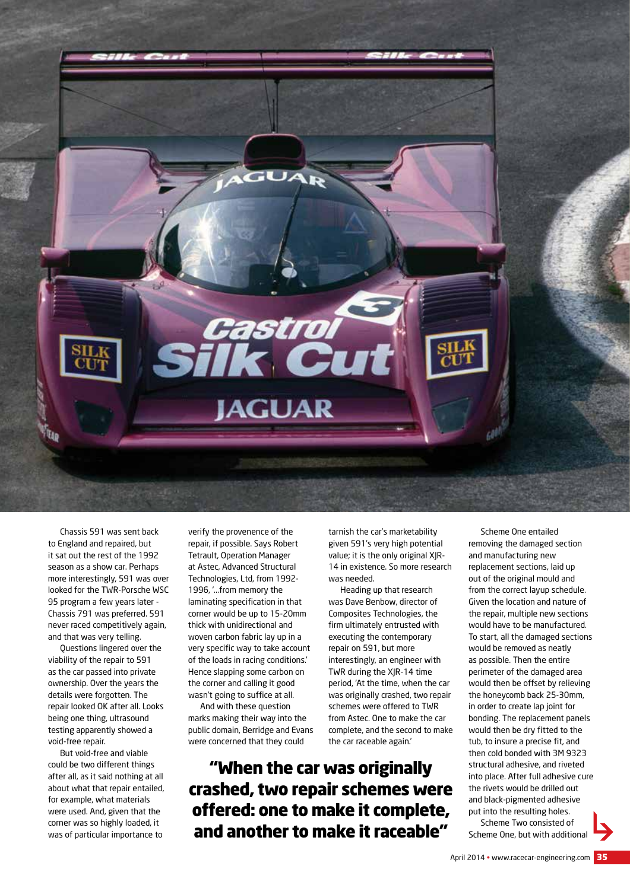

Chassis 591 was sent back to England and repaired, but it sat out the rest of the 1992 season as a show car. Perhaps more interestingly, 591 was over looked for the TWR-Porsche WSC 95 program a few years later - Chassis 791 was preferred. 591 never raced competitively again, and that was very telling.

Questions lingered over the viability of the repair to 591 as the car passed into private ownership. Over the years the details were forgotten. The repair looked OK after all. Looks being one thing, ultrasound testing apparently showed a void-free repair.

But void-free and viable could be two different things after all, as it said nothing at all about what that repair entailed, for example, what materials were used. And, given that the corner was so highly loaded, it was of particular importance to

verify the provenence of the repair, if possible. Says Robert Tetrault, Operation Manager at Astec, Advanced Structural Technologies, Ltd, from 1992- 1996, '...from memory the laminating specification in that corner would be up to 15-20mm thick with unidirectional and woven carbon fabric lay up in a very specific way to take account of the loads in racing conditions.' Hence slapping some carbon on the corner and calling it good wasn't going to suffice at all.

And with these question marks making their way into the public domain, Berridge and Evans were concerned that they could

tarnish the car's marketability given 591's very high potential value; it is the only original XJR-14 in existence. So more research was needed.

Heading up that research was Dave Benbow, director of Composites Technologies, the firm ultimately entrusted with executing the contemporary repair on 591, but more interestingly, an engineer with TWR during the XJR-14 time period, 'At the time, when the car was originally crashed, two repair schemes were offered to TWR from Astec. One to make the car complete, and the second to make the car raceable again.'

"When the car was originally crashed, two repair schemes were offered: one to make it complete, and another to make it raceable"

Scheme One entailed removing the damaged section and manufacturing new replacement sections, laid up out of the original mould and from the correct layup schedule. Given the location and nature of the repair, multiple new sections would have to be manufactured. To start, all the damaged sections would be removed as neatly as possible. Then the entire perimeter of the damaged area would then be offset by relieving the honeycomb back 25-30mm, in order to create lap joint for bonding. The replacement panels would then be dry fitted to the tub, to insure a precise fit, and then cold bonded with 3M 9323 structural adhesive, and riveted into place. After full adhesive cure the rivets would be drilled out and black-pigmented adhesive put into the resulting holes. Scheme Two consisted of

Scheme One, but with additional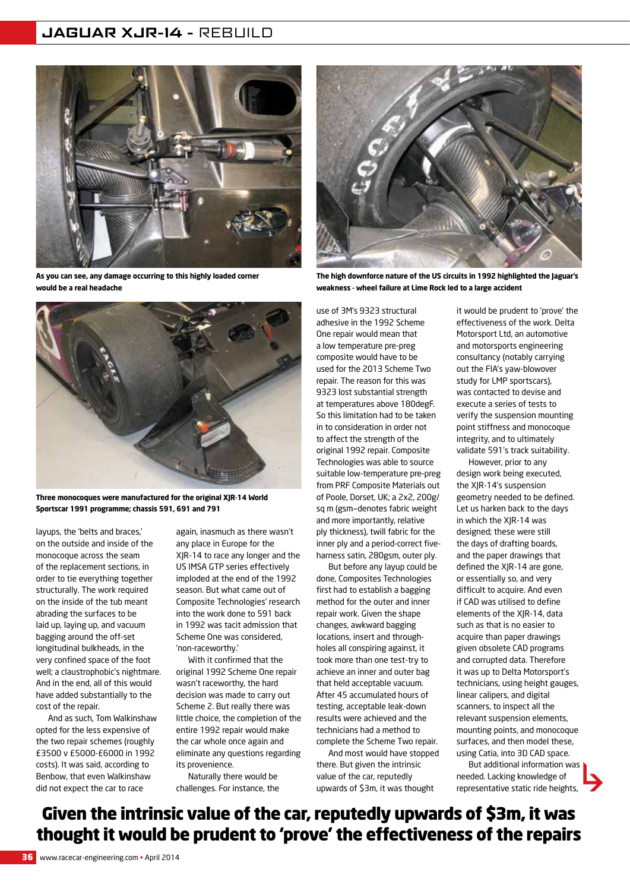#### **JAGUAR XJR-14 -** REBUILD



**As you can see, any damage occurring to this highly loaded corner would be a real headache**



**Three monocoques were manufactured for the original XJR-14 World Sportscar 1991 programme; chassis 591, 691 and 791**

layups, the 'belts and braces,' on the outside and inside of the monocoque across the seam of the replacement sections, in order to tie everything together structurally. The work required on the inside of the tub meant abrading the surfaces to be laid up, laying up, and vacuum bagging around the off-set longitudinal bulkheads, in the very confined space of the foot well; a claustrophobic's nightmare. And in the end, all of this would have added substantially to the cost of the repair.

And as such, Tom Walkinshaw opted for the less expensive of the two repair schemes (roughly £3500 v £5000-£6000 in 1992 costs). It was said, according to Benbow, that even Walkinshaw did not expect the car to race

again, inasmuch as there wasn't any place in Europe for the XJR-14 to race any longer and the US IMSA GTP series effectively imploded at the end of the 1992 season. But what came out of Composite Technologies' research into the work done to 591 back in 1992 was tacit admission that Scheme One was considered, 'non-raceworthy.'

With it confirmed that the original 1992 Scheme One repair wasn't raceworthy, the hard decision was made to carry out Scheme 2. But really there was little choice, the completion of the entire 1992 repair would make the car whole once again and eliminate any questions regarding its provenience.

Naturally there would be challenges. For instance, the



**The high downforce nature of the US circuits in 1992 highlighted the Jaguar's weakness - wheel failure at Lime Rock led to a large accident**

use of 3M's 9323 structural adhesive in the 1992 Scheme One repair would mean that a low temperature pre-preg composite would have to be used for the 2013 Scheme Two repair. The reason for this was 9323 lost substantial strength at temperatures above 180degF. So this limitation had to be taken in to consideration in order not to affect the strength of the original 1992 repair. Composite Technologies was able to source suitable low-temperature pre-preg from PRF Composite Materials out of Poole, Dorset, UK; a 2x2, 200g/ sq m (gsm—denotes fabric weight and more importantly, relative ply thickness), twill fabric for the inner ply and a period-correct fiveharness satin, 280gsm, outer ply.

But before any layup could be done, Composites Technologies first had to establish a bagging method for the outer and inner repair work. Given the shape changes, awkward bagging locations, insert and throughholes all conspiring against, it took more than one test-try to achieve an inner and outer bag that held acceptable vacuum. After 45 accumulated hours of testing, acceptable leak-down results were achieved and the technicians had a method to complete the Scheme Two repair.

And most would have stopped there. But given the intrinsic value of the car, reputedly upwards of \$3m, it was thought

it would be prudent to 'prove' the effectiveness of the work. Delta Motorsport Ltd, an automotive and motorsports engineering consultancy (notably carrying out the FIA's yaw-blowover study for LMP sportscars), was contacted to devise and execute a series of tests to verify the suspension mounting point stiffness and monocoque integrity, and to ultimately validate 591's track suitability.

However, prior to any design work being executed, the XJR-14's suspension geometry needed to be defined. Let us harken back to the days in which the XJR-14 was designed; these were still the days of drafting boards, and the paper drawings that defined the XJR-14 are gone, or essentially so, and very difficult to acquire. And even if CAD was utilised to define elements of the XJR-14, data such as that is no easier to acquire than paper drawings given obsolete CAD programs and corrupted data. Therefore it was up to Delta Motorsport's technicians, using height gauges, linear calipers, and digital scanners, to inspect all the relevant suspension elements, mounting points, and monocoque surfaces, and then model these, using Catia, into 3D CAD space.

But additional information was needed. Lacking knowledge of representative static ride heights,

### Given the intrinsic value of the car, reputedly upwards of \$3m, it was thought it would be prudent to 'prove' the effectiveness of the repairs